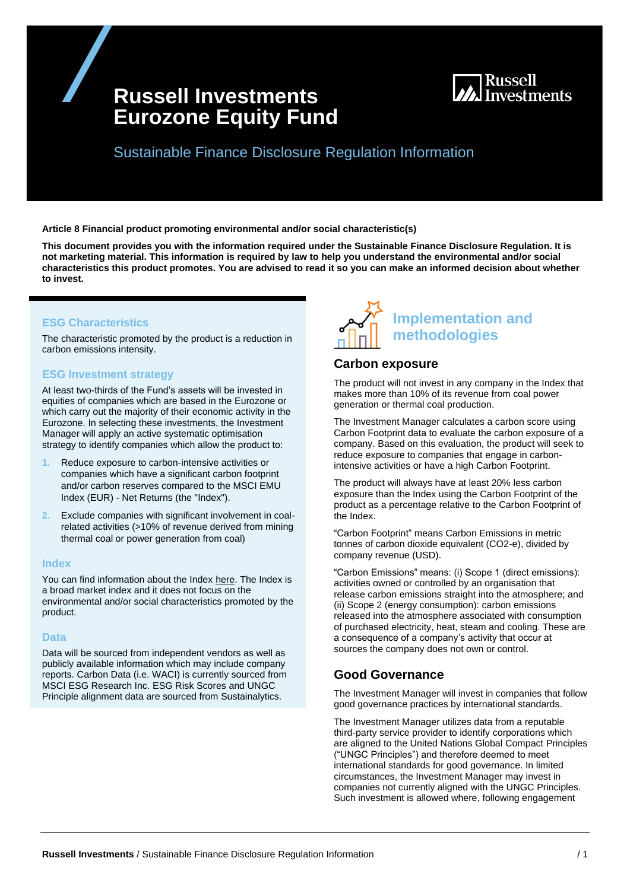# **Russell Investments Eurozone Equity Fund**



Sustainable Finance Disclosure Regulation Information

**Article 8 Financial product promoting environmental and/or social characteristic(s)**

**This document provides you with the information required under the Sustainable Finance Disclosure Regulation. It is not marketing material. This information is required by law to help you understand the environmental and/or social characteristics this product promotes. You are advised to read it so you can make an informed decision about whether to invest.**

### **ESG Characteristics**

The characteristic promoted by the product is a reduction in carbon emissions intensity.

### **ESG Investment strategy**

At least two-thirds of the Fund's assets will be invested in equities of companies which are based in the Eurozone or which carry out the majority of their economic activity in the Eurozone. In selecting these investments, the Investment Manager will apply an active systematic optimisation strategy to identify companies which allow the product to:

- **1.** Reduce exposure to carbon-intensive activities or companies which have a significant carbon footprint and/or carbon reserves compared to the MSCI EMU Index (EUR) - Net Returns (the "Index").
- **2.** Exclude companies with significant involvement in coalrelated activities (>10% of revenue derived from mining thermal coal or power generation from coal)

### **Index**

You can find information about the Index [here.](https://www.msci.com/index-methodology) The Index is a broad market index and it does not focus on the environmental and/or social characteristics promoted by the product.

### **Data**

Data will be sourced from independent vendors as well as publicly available information which may include company reports. Carbon Data (i.e. WACI) is currently sourced from MSCI ESG Research Inc. ESG Risk Scores and UNGC Principle alignment data are sourced from Sustainalytics.



### **Carbon exposure**

The product will not invest in any company in the Index that makes more than 10% of its revenue from coal power generation or thermal coal production.

The Investment Manager calculates a carbon score using Carbon Footprint data to evaluate the carbon exposure of a company. Based on this evaluation, the product will seek to reduce exposure to companies that engage in carbonintensive activities or have a high Carbon Footprint.

The product will always have at least 20% less carbon exposure than the Index using the Carbon Footprint of the product as a percentage relative to the Carbon Footprint of the Index.

"Carbon Footprint" means Carbon Emissions in metric tonnes of carbon dioxide equivalent (CO2-e), divided by company revenue (USD).

"Carbon Emissions" means: (i) Scope 1 (direct emissions): activities owned or controlled by an organisation that release carbon emissions straight into the atmosphere; and (ii) Scope 2 (energy consumption): carbon emissions released into the atmosphere associated with consumption of purchased electricity, heat, steam and cooling. These are a consequence of a company's activity that occur at sources the company does not own or control.

# **Good Governance**

The Investment Manager will invest in companies that follow good governance practices by international standards.

The Investment Manager utilizes data from a reputable third-party service provider to identify corporations which are aligned to the United Nations Global Compact Principles ("UNGC Principles") and therefore deemed to meet international standards for good governance. In limited circumstances, the Investment Manager may invest in companies not currently aligned with the UNGC Principles. Such investment is allowed where, following engagement